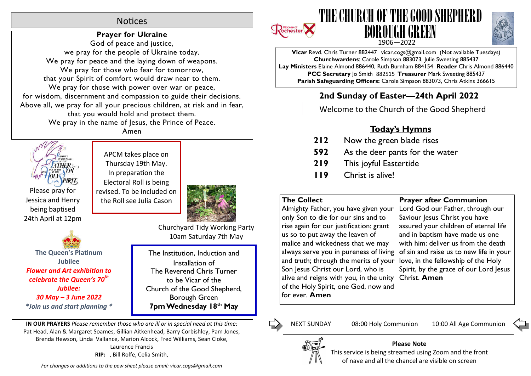# **Notices**

# **Prayer for Ukraine**

God of peace and justice, we pray for the people of Ukraine today. We pray for peace and the laying down of weapons. We pray for those who fear for tomorrow, that your Spirit of comfort would draw near to them. We pray for those with power over war or peace, for wisdom, discernment and compassion to guide their decisions. Above all, we pray for all your precious children, at risk and in fear, that you would hold and protect them. We pray in the name of Jesus, the Prince of Peace.

THE K Please pray for Jessica and Henry being baptised 24th April at 12pm Amen

APCM takes place on Thursday 19th May. In preparation the Electoral Roll is being revised. To be included on the Roll see Julia Cason



**The Queen's Platinum Jubilee Flower and Art exhibition to** *celebrate the Queen's 70th Jubilee: 30 May – 3 June 2022 \*Join us and start planning \** Churchyard Tidy Working Party 10am Saturday 7th May

The Institution, Induction and Installation of The Reverend Chris Turner to be Vicar of the Church of the Good Shepherd, Borough Green **7pm Wednesday 18th May**

**IN OUR PRAYERS** *Please remember those who are ill or in special need at this me:* Pat Head, Alan & Margaret Soames, Gillian Aitkenhead, Barry Corbishley, Pam Jones, Brenda Hewson, Linda Vallance, Marion Alcock, Fred Williams, Sean Cloke, Laurence Francis **RIP:** , Bill Rolfe, Celia Smith,







**Vicar** Revd. Chris Turner 882447 vicar.cogs@gmail.com (Not available Tuesdays) **Churchwardens**: Carole Simpson 883073, Julie Sweeting 885437 **Lay Ministers** Elaine Almond 886440, Ruth Burnham 884154 **Reader** Chris Almond 886440 **PCC Secretary** Jo Smith 882515 **Treasurer** Mark Sweeting 885437 **Parish Safeguarding Officers:** Carole Simpson 883073, Chris Atkins 366615

# **2nd Sunday of Easter—24th April 2022**

Welcome to the Church of the Good Shepherd

# **Today's Hymns**

- **212** Now the green blade rises
- **592** As the deer pants for the water
- **219** This joyful Eastertide
- **119** Christ is alive!

# **The Collect**

Almighty Father, you have given your only Son to die for our sins and to rise again for our justification: grant us so to put away the leaven of malice and wickedness that we may always serve you in pureness of living and truth; through the merits of your love, in the fellowship of the Holy Son Jesus Christ our Lord, who is alive and reigns with you, in the unity Christ. **Amen**of the Holy Spirit, one God, now and for ever. **Amen**

# **Prayer after Communion**

Lord God our Father, through our Saviour Jesus Christ you have assured your children of eternal life and in baptism have made us one with him: deliver us from the death of sin and raise us to new life in your Spirit, by the grace of our Lord Jesus

Г,

NEXT SUNDAY 08:00 Holy Communion 10:00 All Age Communion



### **Please Note**

This service is being streamed using Zoom and the front of nave and all the chancel are visible on screen